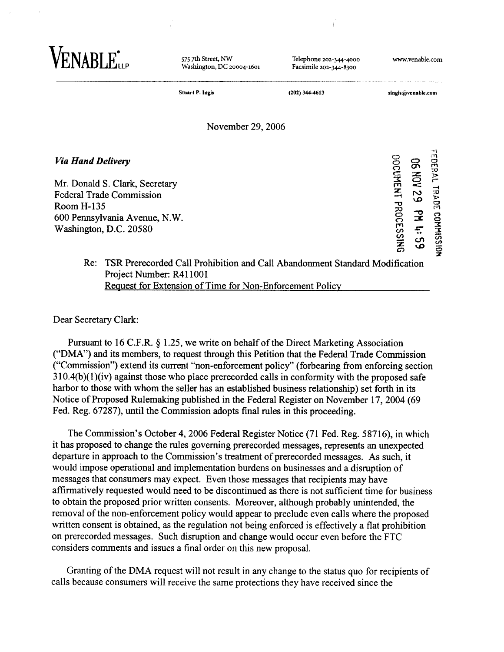| <b>JABLE</b>                                                                                                                                                                  | 575 7th Street, NW<br>Washington, DC 20004-1601 | Telephone 202-344-4000<br>Facsimile 202-344-8300                                | www.venable.com     |                                                     |                               |
|-------------------------------------------------------------------------------------------------------------------------------------------------------------------------------|-------------------------------------------------|---------------------------------------------------------------------------------|---------------------|-----------------------------------------------------|-------------------------------|
|                                                                                                                                                                               | <b>Stuart P. Ingis</b>                          | (202) 344-4613                                                                  | singis@venable.com  |                                                     |                               |
|                                                                                                                                                                               | November 29, 2006                               |                                                                                 |                     |                                                     |                               |
| <b>Via Hand Delivery</b><br>Mr. Donald S. Clark, Secretary<br><b>Federal Trade Commission</b><br><b>Room H-135</b><br>600 Pennsylvania Avenue, N.W.<br>Washington, D.C. 20580 |                                                 |                                                                                 | DOCUMENT PROCESSING | <b>NOH 90</b><br>S<br>S<br>$\mathbf{F}$<br>$53 - 7$ | EDERAL<br>TRADE<br>CONNISSIDE |
| Project Number: R411001                                                                                                                                                       |                                                 | Re: TSR Prerecorded Call Prohibition and Call Abandonment Standard Modification |                     |                                                     |                               |

Request for Extension of Time for Non-Enforcement Policy

Dear Secretary Clark:

Pursuant to 16 C.F.R. § 1.25, we write on behalf of the Direct Marketing Association ("DMA") and its members, to request through this Petition that the Federal Trade Commission ("Cornmission") extend its current "non-enforcement policy" (forbearing fiom enforcing section **3** 10.4(b)(l)(iv) against those who place prerecorded calls in conformity with the proposed safe harbor to those with whom the seller has an established business relationship) set forth in its Notice of Proposed Rulemaking published in the Federal Register on November 17,2004 (69 Fed. Reg. 67287), until the Commission adopts final rules in this proceeding.

The Commission's October 4,2006 Federal Register Notice (71 Fed. Reg. 58716), in which it has proposed to change the rules governing prerecorded messages, represents an unexpected departure in approach to the Commission's treatment of prerecorded messages. As such, it would impose operational and implementation burdens on businesses and a disruption of messages that consumers may expect. Even those messages that recipients may have affirmatively requested would need to be discontinued as there is not sufficient time for business to obtain the proposed prior written consents. Moreover, although probably unintended, the removal of the non-enforcement policy would appear to preclude even calls where the proposed written consent is obtained, as the regulation not being enforced is effectively a flat prohibition on prerecorded messages. Such disruption and change would occur even before the FTC considers comments and issues a final order on this new proposal.

Granting of the **DMA** request will not result in any change to the status quo for recipients of calls because consumers will receive the same protections they have received since the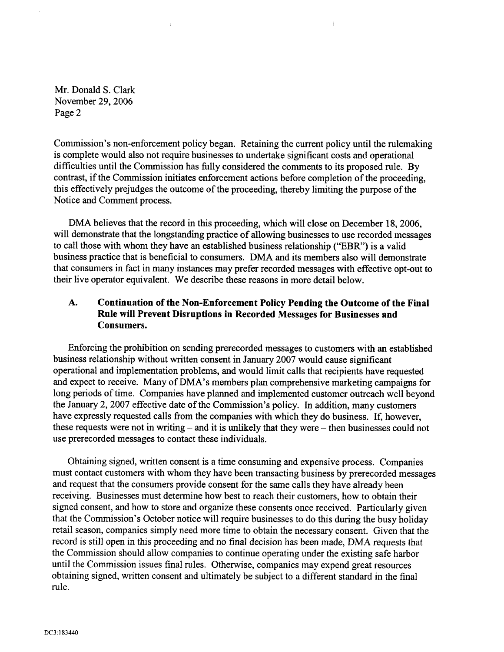Mr. Donald S. Clark November 29,2006 Page 2

Commission's non-enforcement policy began. Retaining the current policy until the rulemaking is complete would also not require businesses to undertake significant costs and operational difficulties until the Commission has fully considered the comments to its proposed rule. By contrast, if the Commission initiates enforcement actions before completion of the proceeding, this effectively prejudges the outcome of the proceeding, thereby limiting the purpose of the Notice and Comment process.

Ť

DMA believes that the record in this proceeding, which will close on December 18, 2006. will demonstrate that the longstanding practice of allowing businesses to use recorded messages to call those with whom they have an established business relationship ("EBR") is a valid business practice that is beneficial to consumers. DMA and its members also will demonstrate that consumers in fact in many instances may prefer recorded messages with effective opt-out to their live operator equivalent. We describe these reasons in more detail below.

## **A. Continuation of the Non-Enforcement Policy Pending the Outcome of the Final Rule will Prevent Disruptions in Recorded Messages for Businesses and Consumers.**

Enforcing the prohibition on sending prerecorded messages to customers with an established business relationship without written consent in January 2007 would cause significant operational and implementation problems, and would limit calls that recipients have requested and expect to receive. Many of DMA's members plan comprehensive marketing campaigns for long periods of time. Companies have planned and implemented customer outreach well beyond the January 2,2007 effective date of the Commission's policy. In addition, many customers have expressly requested calls from the companies with which they do business. If, however, these requests were not in writing - and it is unlikely that they were - then businesses could not use prerecorded messages to contact these individuals.

Obtaining signed, written consent is a time consuming and expensive process. Companies must contact customers with whom they have been transacting business by prerecorded messages and request that the consumers provide consent for the same calls they have already been receiving. Businesses must determine how best to reach their customers, how to obtain their signed consent, and how to store and organize these consents once received. Particularly given that the Commission's October notice will require businesses to do this during the busy holiday retail season, companies simply need more time to obtain the necessary consent. Given that the record is still open in this proceeding and no final decision has been made, DMA requests that the Commission should allow companies to continue operating under the existing safe harbor until the Commission issues final rules. Otherwise, companies may expend great resources obtaining signed, written consent and ultimately be subject to a different standard in the final rule.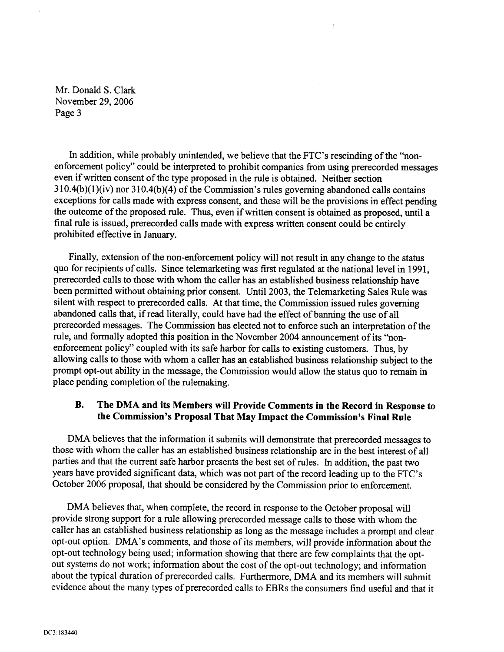Mr. Donald S. Clark November 29,2006 Page 3

In addition, while probably unintended, we believe that the FTC's rescinding of the "nonenforcement policy" could be interpreted to prohibit companies from using prerecorded messages even if written consent of the type proposed in the rule is obtained. Neither section  $310.4(b)(1)(iv)$  nor  $310.4(b)(4)$  of the Commission's rules governing abandoned calls contains exceptions for calls made with express consent, and these will be the provisions in effect pending the outcome of the proposed rule. Thus, even if written consent is obtained as proposed, until a final rule is issued, prerecorded calls made with express written consent could be entirely prohibited effective in January.

 $\bar{\Gamma}$ 

Finally, extension of the non-enforcement policy will not result in any change to the status quo for recipients of calls. Since telemarketing was first regulated at the national level in 1991, prerecorded calls to those with whom the caller has an established business relationship have been permitted without obtaining prior consent. Until 2003, the Telemarketing Sales Rule was silent with respect to prerecorded calls. At that time, the Commission issued rules governing abandoned calls that, if read literally, could have had the effect of banning the use of all prerecorded messages. The Commission has elected not to enforce such an interpretation of the rule, and formally adopted this position in the November 2004 announcement of its "nonenforcement policy" coupled with its safe harbor for calls to existing customers. Thus, by allowing calls to those with whom a caller has an established business relationship subject to the prompt opt-out ability in the message, the Commission would allow the status quo to remain in place pending completion of the rulemaking.

## **B. The DMA and its Members will Provide Comments in the Record in Response to the Commission's Proposal That May Impact the Commission's Final Rule**

DMA believes that the information it submits will demonstrate that prerecorded messages to those with whom the caller has an established business relationship are in the best interest of all parties and that the current safe harbor presents the best set of rules. In addition, the past two years have provided significant data, which was not part of the record leading up to the FTC's October 2006 proposal, that should be considered by the Commission prior to enforcement.

**DMA** believes that, when complete, the record in response to the October proposal will provide strong support for a rule allowing prerecorded message calls to those with whom the caller has an established business relationship as long as the message includes a prompt and clear opt-out option. DMA's comments, and those of its members, will provide information about the opt-out technology being used; information showing that there are few complaints that the optout systems do not work; information about the cost of the opt-out technology; and information about the typical duration of prerecorded calls. Furthermore, DMA and its members will submit evidence about the many types of prerecorded calls to EBRs the consumers find useful and that it